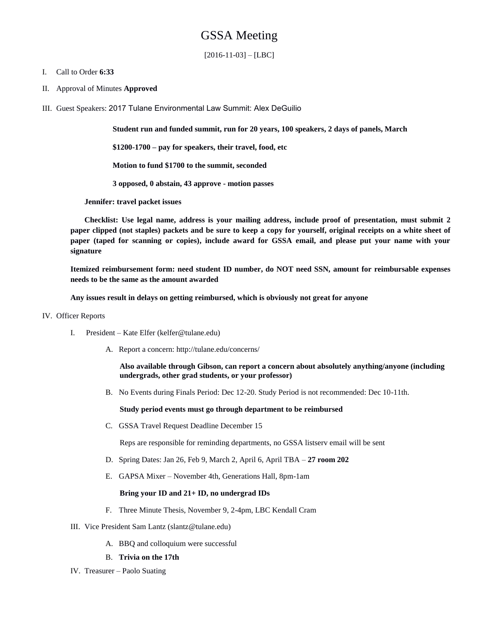# GSSA Meeting

 $[2016-11-03] - [LBC]$ 

## I. Call to Order **6:33**

- II. Approval of Minutes **Approved**
- III. Guest Speakers: 2017 Tulane Environmental Law Summit: Alex DeGuilio

**Student run and funded summit, run for 20 years, 100 speakers, 2 days of panels, March**

**\$1200-1700 – pay for speakers, their travel, food, etc**

**Motion to fund \$1700 to the summit, seconded** 

**3 opposed, 0 abstain, 43 approve - motion passes** 

**Jennifer: travel packet issues**

**Checklist: Use legal name, address is your mailing address, include proof of presentation, must submit 2 paper clipped (not staples) packets and be sure to keep a copy for yourself, original receipts on a white sheet of paper (taped for scanning or copies), include award for GSSA email, and please put your name with your signature**

**Itemized reimbursement form: need student ID number, do NOT need SSN, amount for reimbursable expenses needs to be the same as the amount awarded**

**Any issues result in delays on getting reimbursed, which is obviously not great for anyone**

## IV. Officer Reports

- I. President Kate Elfer (kelfer@tulane.edu)
	- A. Report a concern: http://tulane.edu/concerns/

**Also available through Gibson, can report a concern about absolutely anything/anyone (including undergrads, other grad students, or your professor)**

B. No Events during Finals Period: Dec 12-20. Study Period is not recommended: Dec 10-11th.

**Study period events must go through department to be reimbursed**

C. GSSA Travel Request Deadline December 15

Reps are responsible for reminding departments, no GSSA listserv email will be sent

- D. Spring Dates: Jan 26, Feb 9, March 2, April 6, April TBA **27 room 202**
- E. GAPSA Mixer November 4th, Generations Hall, 8pm-1am

## **Bring your ID and 21+ ID, no undergrad IDs**

- F. Three Minute Thesis, November 9, 2-4pm, LBC Kendall Cram
- III. Vice President Sam Lantz (slantz@tulane.edu)
	- A. BBQ and colloquium were successful
	- B. **Trivia on the 17th**
- IV. Treasurer Paolo Suating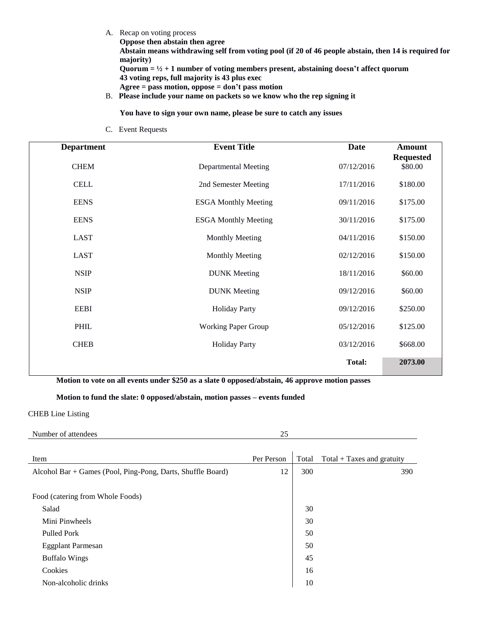A. Recap on voting process

**Oppose then abstain then agree**

**Abstain means withdrawing self from voting pool (if 20 of 46 people abstain, then 14 is required for majority)** 

**Quorum = ½ + 1 number of voting members present, abstaining doesn't affect quorum 43 voting reps, full majority is 43 plus exec Agree = pass motion, oppose = don't pass motion**

- 
- B. **Please include your name on packets so we know who the rep signing it**

**You have to sign your own name, please be sure to catch any issues**

C. Event Requests

| <b>Department</b> | <b>Event Title</b>          | <b>Date</b>   | <b>Amount</b><br><b>Requested</b> |
|-------------------|-----------------------------|---------------|-----------------------------------|
| <b>CHEM</b>       | <b>Departmental Meeting</b> | 07/12/2016    | \$80.00                           |
| <b>CELL</b>       | 2nd Semester Meeting        | 17/11/2016    | \$180.00                          |
| <b>EENS</b>       | <b>ESGA Monthly Meeting</b> | 09/11/2016    | \$175.00                          |
| <b>EENS</b>       | <b>ESGA Monthly Meeting</b> | 30/11/2016    | \$175.00                          |
| <b>LAST</b>       | <b>Monthly Meeting</b>      | 04/11/2016    | \$150.00                          |
| <b>LAST</b>       | <b>Monthly Meeting</b>      | 02/12/2016    | \$150.00                          |
| <b>NSIP</b>       | <b>DUNK</b> Meeting         | 18/11/2016    | \$60.00                           |
| <b>NSIP</b>       | <b>DUNK</b> Meeting         | 09/12/2016    | \$60.00                           |
| <b>EEBI</b>       | <b>Holiday Party</b>        | 09/12/2016    | \$250.00                          |
| PHIL              | <b>Working Paper Group</b>  | 05/12/2016    | \$125.00                          |
| <b>CHEB</b>       | <b>Holiday Party</b>        | 03/12/2016    | \$668.00                          |
|                   |                             | <b>Total:</b> | 2073.00                           |

**Motion to vote on all events under \$250 as a slate 0 opposed/abstain, 46 approve motion passes**

## **Motion to fund the slate: 0 opposed/abstain, motion passes – events funded**

## CHEB Line Listing

| пое<br>ан | --<br>$\sim$ |
|-----------|--------------|
|           |              |

| Item                                                        | Per Person | Total | $Total + Taxes$ and gratuity |
|-------------------------------------------------------------|------------|-------|------------------------------|
| Alcohol Bar + Games (Pool, Ping-Pong, Darts, Shuffle Board) | 12         | 300   | 390                          |
|                                                             |            |       |                              |
| Food (catering from Whole Foods)                            |            |       |                              |
| Salad                                                       |            | 30    |                              |
| Mini Pinwheels                                              |            | 30    |                              |
| <b>Pulled Pork</b>                                          |            | 50    |                              |
| <b>Eggplant Parmesan</b>                                    |            | 50    |                              |
| <b>Buffalo Wings</b>                                        |            | 45    |                              |
| Cookies                                                     |            | 16    |                              |
| Non-alcoholic drinks                                        |            | 10    |                              |